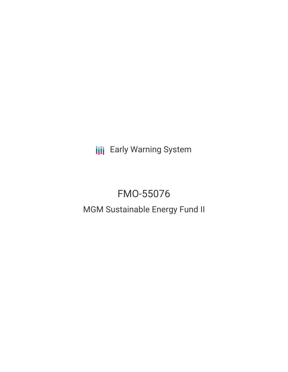**III** Early Warning System

# FMO-55076

## MGM Sustainable Energy Fund II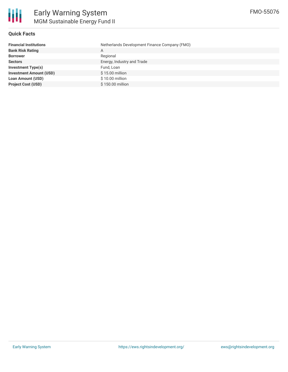

#### **Quick Facts**

| <b>Financial Institutions</b>  | Netherlands Development Finance Company (FMO) |
|--------------------------------|-----------------------------------------------|
| <b>Bank Risk Rating</b>        | A                                             |
| <b>Borrower</b>                | Regional                                      |
| <b>Sectors</b>                 | Energy, Industry and Trade                    |
| Investment Type(s)             | Fund, Loan                                    |
| <b>Investment Amount (USD)</b> | \$15.00 million                               |
| <b>Loan Amount (USD)</b>       | \$10.00 million                               |
| <b>Project Cost (USD)</b>      | \$150,00 million                              |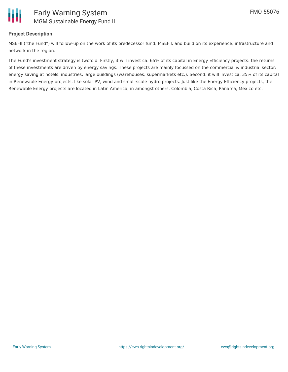

#### **Project Description**

MSEFII ("the Fund") will follow-up on the work of its predecessor fund, MSEF I, and build on its experience, infrastructure and network in the region.

The Fund's investment strategy is twofold. Firstly, it will invest ca. 65% of its capital in Energy Efficiency projects: the returns of these investments are driven by energy savings. These projects are mainly focussed on the commercial & industrial sector: energy saving at hotels, industries, large buildings (warehouses, supermarkets etc.). Second, it will invest ca. 35% of its capital in Renewable Energy projects, like solar PV, wind and small-scale hydro projects. Just like the Energy Efficiency projects, the Renewable Energy projects are located in Latin America, in amongst others, Colombia, Costa Rica, Panama, Mexico etc.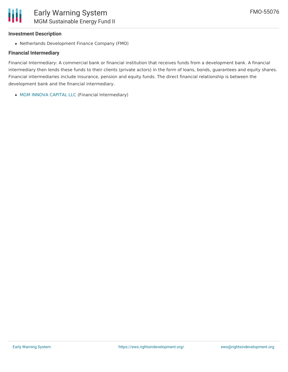#### **Investment Description**

Ш

Netherlands Development Finance Company (FMO)

### **Financial Intermediary**

Financial Intermediary: A commercial bank or financial institution that receives funds from a development bank. A financial intermediary then lends these funds to their clients (private actors) in the form of loans, bonds, guarantees and equity shares. Financial intermediaries include insurance, pension and equity funds. The direct financial relationship is between the development bank and the financial intermediary.

MGM INNOVA [CAPITAL](file:///actor/1495/) LLC (Financial Intermediary)